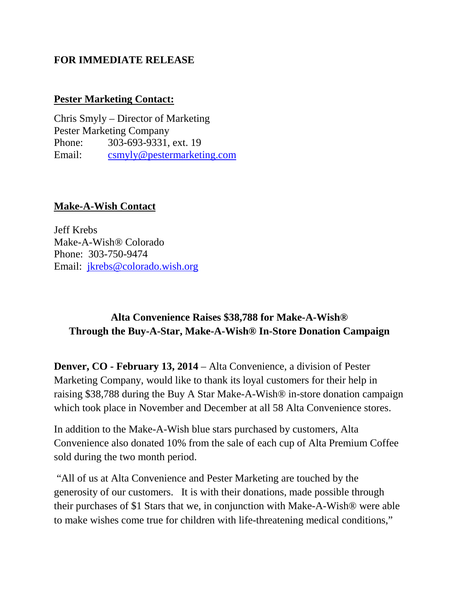#### **FOR IMMEDIATE RELEASE**

#### **Pester Marketing Contact:**

Chris Smyly – Director of Marketing Pester Marketing Company Phone: 303-693-9331, ext. 19 Email: [csmyly@pestermarketing.com](mailto:csmyly@pestermarketing.com)

#### **Make-A-Wish Contact**

Jeff Krebs Make-A-Wish® Colorado Phone: 303-750-9474 Email: [jkrebs@colorado.wish.org](mailto:jkrebs@colorado.wish.org)

### **Alta Convenience Raises \$38,788 for Make-A-Wish® Through the Buy-A-Star, Make-A-Wish® In-Store Donation Campaign**

**Denver, CO - February 13, 2014** – Alta Convenience, a division of Pester Marketing Company, would like to thank its loyal customers for their help in raising \$38,788 during the Buy A Star Make-A-Wish® in-store donation campaign which took place in November and December at all 58 Alta Convenience stores.

In addition to the Make-A-Wish blue stars purchased by customers, Alta Convenience also donated 10% from the sale of each cup of Alta Premium Coffee sold during the two month period.

"All of us at Alta Convenience and Pester Marketing are touched by the generosity of our customers. It is with their donations, made possible through their purchases of \$1 Stars that we, in conjunction with Make-A-Wish® were able to make wishes come true for children with life-threatening medical conditions,"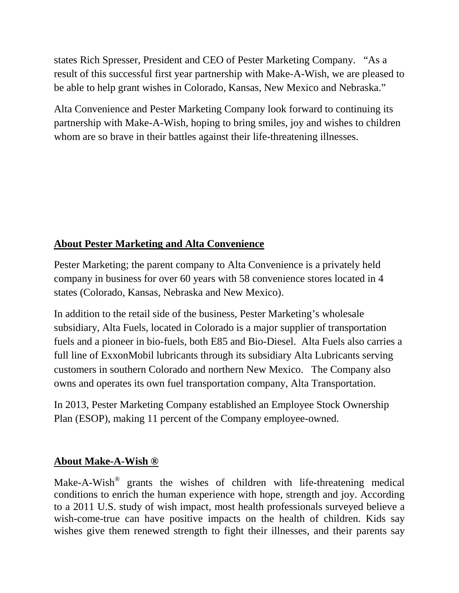states Rich Spresser, President and CEO of Pester Marketing Company. "As a result of this successful first year partnership with Make-A-Wish, we are pleased to be able to help grant wishes in Colorado, Kansas, New Mexico and Nebraska."

Alta Convenience and Pester Marketing Company look forward to continuing its partnership with Make-A-Wish, hoping to bring smiles, joy and wishes to children whom are so brave in their battles against their life-threatening illnesses.

## **About Pester Marketing and Alta Convenience**

Pester Marketing; the parent company to Alta Convenience is a privately held company in business for over 60 years with 58 convenience stores located in 4 states (Colorado, Kansas, Nebraska and New Mexico).

In addition to the retail side of the business, Pester Marketing's wholesale subsidiary, Alta Fuels, located in Colorado is a major supplier of transportation fuels and a pioneer in bio-fuels, both E85 and Bio-Diesel. Alta Fuels also carries a full line of ExxonMobil lubricants through its subsidiary Alta Lubricants serving customers in southern Colorado and northern New Mexico. The Company also owns and operates its own fuel transportation company, Alta Transportation.

In 2013, Pester Marketing Company established an Employee Stock Ownership Plan (ESOP), making 11 percent of the Company employee-owned.

### **About Make-A-Wish ®**

Make-A-Wish® grants the wishes of children with life-threatening medical conditions to enrich the human experience with hope, strength and joy. According to a 2011 U.S. study of wish impact, most health professionals surveyed believe a wish-come-true can have positive impacts on the health of children. Kids say wishes give them renewed strength to fight their illnesses, and their parents say